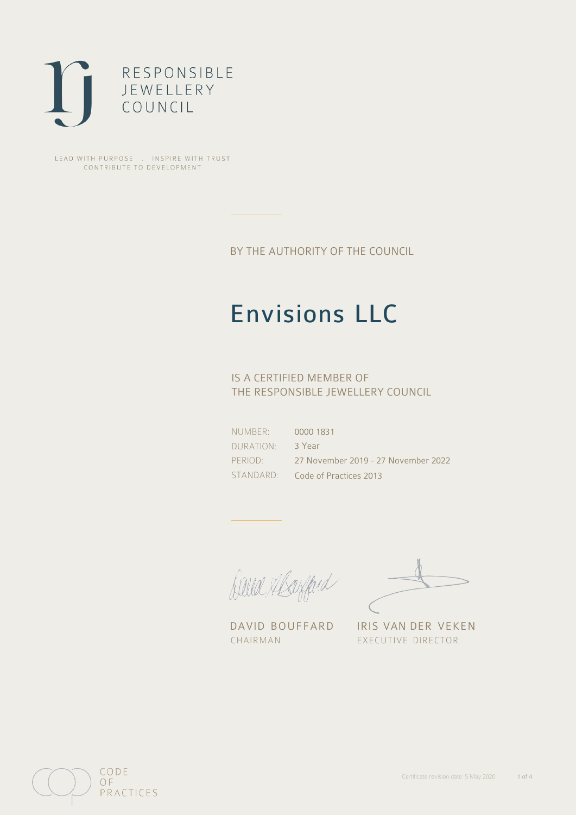

LEAD WITH PURPOSE . INSPIRE WITH TRUST CONTRIBUTE TO DEVELOPMENT

BY THE AUTHORITY OF THE COUNCIL

## Envisions LLC

## IS A CERTIFIED MEMBER OF THE RESPONSIBLE JEWELLERY COUNCIL

NUMBER: DURATION: PERIOD: STANDARD:

0000 1831 3 Year 27 November 2019 - 27 November 2022 Code of Practices 2013

Caux Margaret

DAVID BOUFFARD IRIS VAN DER VEKEN CHAIRMAN EXECUTIVE DIRECTOR

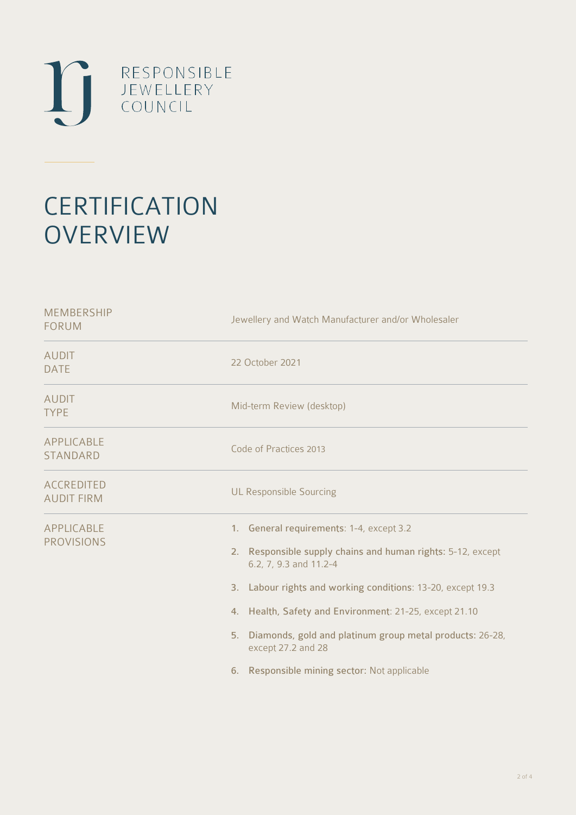

# **CERTIFICATION OVERVIEW**

| Jewellery and Watch Manufacturer and/or Wholesaler                                                                                                                                                                                                                                                                                                                                                 |  |  |
|----------------------------------------------------------------------------------------------------------------------------------------------------------------------------------------------------------------------------------------------------------------------------------------------------------------------------------------------------------------------------------------------------|--|--|
| 22 October 2021                                                                                                                                                                                                                                                                                                                                                                                    |  |  |
| Mid-term Review (desktop)                                                                                                                                                                                                                                                                                                                                                                          |  |  |
| Code of Practices 2013                                                                                                                                                                                                                                                                                                                                                                             |  |  |
| <b>UL Responsible Sourcing</b>                                                                                                                                                                                                                                                                                                                                                                     |  |  |
| 1. General requirements: 1-4, except 3.2<br>2. Responsible supply chains and human rights: 5-12, except<br>6.2, 7, 9.3 and 11.2-4<br>3. Labour rights and working conditions: 13-20, except 19.3<br>4. Health, Safety and Environment: 21-25, except 21.10<br>Diamonds, gold and platinum group metal products: 26-28,<br>5.<br>except 27.2 and 28<br>6. Responsible mining sector: Not applicable |  |  |
|                                                                                                                                                                                                                                                                                                                                                                                                    |  |  |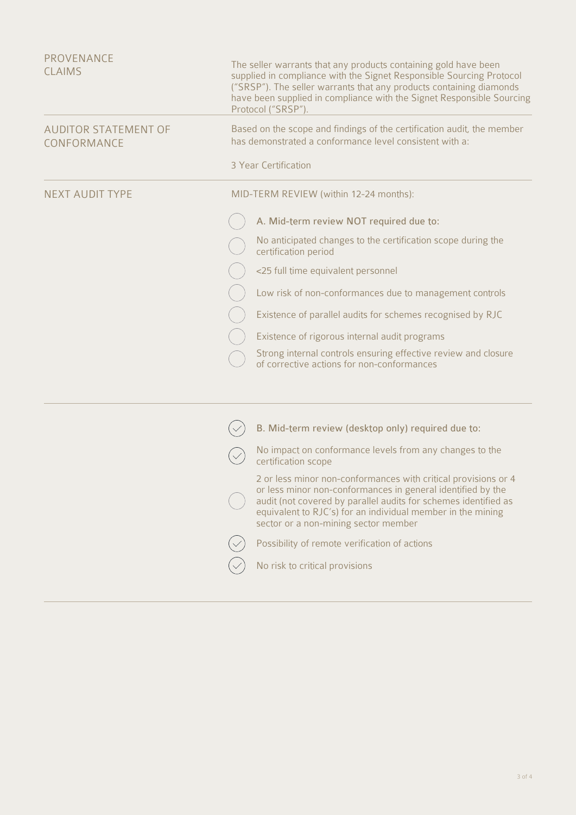| <b>PROVENANCE</b><br><b>CLAIMS</b>         | The seller warrants that any products containing gold have been<br>supplied in compliance with the Signet Responsible Sourcing Protocol<br>("SRSP"). The seller warrants that any products containing diamonds<br>have been supplied in compliance with the Signet Responsible Sourcing<br>Protocol ("SRSP").<br>Based on the scope and findings of the certification audit, the member<br>has demonstrated a conformance level consistent with a: |  |  |
|--------------------------------------------|----------------------------------------------------------------------------------------------------------------------------------------------------------------------------------------------------------------------------------------------------------------------------------------------------------------------------------------------------------------------------------------------------------------------------------------------------|--|--|
| <b>AUDITOR STATEMENT OF</b><br>CONFORMANCE |                                                                                                                                                                                                                                                                                                                                                                                                                                                    |  |  |
|                                            | 3 Year Certification                                                                                                                                                                                                                                                                                                                                                                                                                               |  |  |
| <b>NEXT AUDIT TYPE</b>                     | MID-TERM REVIEW (within 12-24 months):                                                                                                                                                                                                                                                                                                                                                                                                             |  |  |
|                                            | A. Mid-term review NOT required due to:                                                                                                                                                                                                                                                                                                                                                                                                            |  |  |
|                                            | No anticipated changes to the certification scope during the<br>certification period                                                                                                                                                                                                                                                                                                                                                               |  |  |
|                                            | <25 full time equivalent personnel                                                                                                                                                                                                                                                                                                                                                                                                                 |  |  |
|                                            | Low risk of non-conformances due to management controls                                                                                                                                                                                                                                                                                                                                                                                            |  |  |
|                                            | Existence of parallel audits for schemes recognised by RJC                                                                                                                                                                                                                                                                                                                                                                                         |  |  |
|                                            | Existence of rigorous internal audit programs                                                                                                                                                                                                                                                                                                                                                                                                      |  |  |
|                                            | Strong internal controls ensuring effective review and closure<br>of corrective actions for non-conformances                                                                                                                                                                                                                                                                                                                                       |  |  |
|                                            |                                                                                                                                                                                                                                                                                                                                                                                                                                                    |  |  |
|                                            | B. Mid-term review (desktop only) required due to:                                                                                                                                                                                                                                                                                                                                                                                                 |  |  |
|                                            | No impact on conformance levels from any changes to the<br>certification scope                                                                                                                                                                                                                                                                                                                                                                     |  |  |
|                                            | 2 or less minor non-conformances with critical provisions or 4<br>or less minor non-conformances in general identified by the<br>audit (not covered by parallel audits for schemes identified as                                                                                                                                                                                                                                                   |  |  |

equivalent to RJC's) for an individual member in the mining

sector or a non-mining sector member

No risk to critical provisions

 $\swarrow$ 

 $\bigvee$ 

Possibility of remote verification of actions